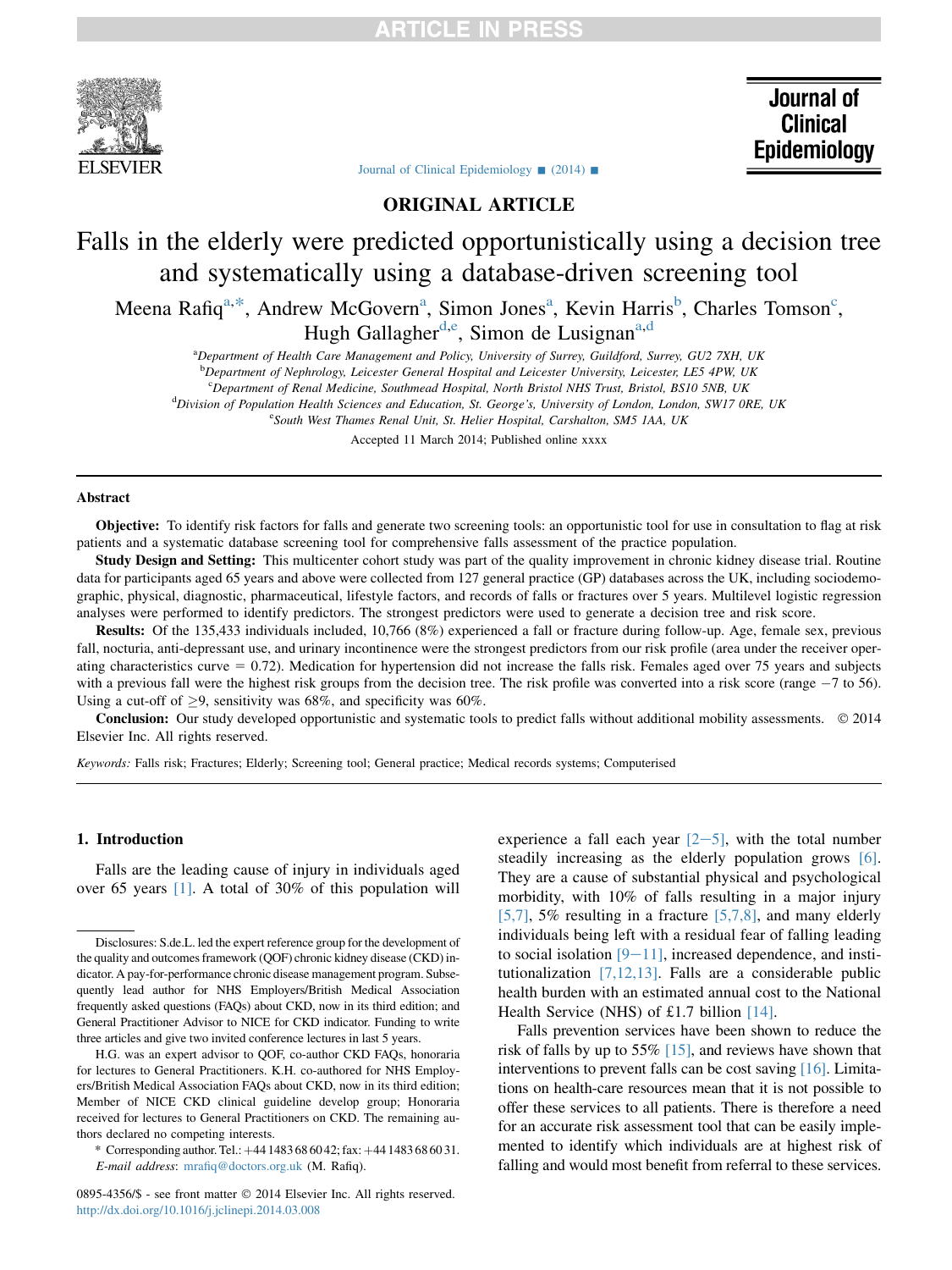

Journal of **Clinical** Epidemiology

#### [Journal of Clinical Epidemiology](http://dx.doi.org/10.1016/j.jclinepi.2014.03.008)  $(2014)$

## ORIGINAL ARTICLE

# Falls in the elderly were predicted opportunistically using a decision tree and systematically using a database-driven screening tool

Meena Rafiq<sup>a,\*</sup>, Andrew McGovern<sup>a</sup>, Simon Jones<sup>a</sup>, Kevin Harris<sup>b</sup>, Charles Tomson<sup>c</sup>, Hugh Gallagher<sup>d,e</sup>, Simon de Lusignan<sup>a,d</sup>

a Department of Health Care Management and Policy, University of Surrey, Guildford, Surrey, GU2 7XH, UK

**b**Department of Nephrology, Leicester General Hospital and Leicester University, Leicester, LE5 4PW, UK

<sup>c</sup>Department of Renal Medicine, Southmead Hospital, North Bristol NHS Trust, Bristol, BS10 5NB, UK

d Division of Population Health Sciences and Education, St. George's, University of London, London, SW17 0RE, UK

e<br>South West Thames Renal Unit, St. Helier Hospital, Carshalton, SM5 1AA, UK

Accepted 11 March 2014; Published online xxxx

#### Abstract

Objective: To identify risk factors for falls and generate two screening tools: an opportunistic tool for use in consultation to flag at risk patients and a systematic database screening tool for comprehensive falls assessment of the practice population.

Study Design and Setting: This multicenter cohort study was part of the quality improvement in chronic kidney disease trial. Routine data for participants aged 65 years and above were collected from 127 general practice (GP) databases across the UK, including sociodemographic, physical, diagnostic, pharmaceutical, lifestyle factors, and records of falls or fractures over 5 years. Multilevel logistic regression analyses were performed to identify predictors. The strongest predictors were used to generate a decision tree and risk score.

Results: Of the 135,433 individuals included, 10,766 (8%) experienced a fall or fracture during follow-up. Age, female sex, previous fall, nocturia, anti-depressant use, and urinary incontinence were the strongest predictors from our risk profile (area under the receiver operating characteristics curve  $= 0.72$ ). Medication for hypertension did not increase the falls risk. Females aged over 75 years and subjects with a previous fall were the highest risk groups from the decision tree. The risk profile was converted into a risk score (range  $-7$  to 56). Using a cut-off of  $\geq$ 9, sensitivity was 68%, and specificity was 60%.

Conclusion: Our study developed opportunistic and systematic tools to predict falls without additional mobility assessments.  $\oslash$  2014 Elsevier Inc. All rights reserved.

Keywords: Falls risk; Fractures; Elderly; Screening tool; General practice; Medical records systems; Computerised

#### 1. Introduction

Falls are the leading cause of injury in individuals aged over 65 years [\[1\].](#page-8-0) A total of 30% of this population will experience a fall each year  $[2-5]$  $[2-5]$ , with the total number steadily increasing as the elderly population grows [\[6\]](#page-8-0). They are a cause of substantial physical and psychological morbidity, with 10% of falls resulting in a major injury [\[5,7\],](#page-8-0) 5% resulting in a fracture [\[5,7,8\]](#page-8-0), and many elderly individuals being left with a residual fear of falling leading to social isolation  $[9-11]$ , increased dependence, and institutionalization [\[7,12,13\].](#page-8-0) Falls are a considerable public health burden with an estimated annual cost to the National Health Service (NHS) of £1.7 billion [\[14\].](#page-9-0)

Falls prevention services have been shown to reduce the risk of falls by up to 55% [\[15\]](#page-9-0), and reviews have shown that interventions to prevent falls can be cost saving [\[16\].](#page-9-0) Limitations on health-care resources mean that it is not possible to offer these services to all patients. There is therefore a need for an accurate risk assessment tool that can be easily implemented to identify which individuals are at highest risk of falling and would most benefit from referral to these services.

Disclosures: S.de.L. led the expert reference group for the development of the quality and outcomes framework (QOF) chronic kidney disease (CKD) indicator. A pay-for-performance chronic disease management program. Subsequently lead author for NHS Employers/British Medical Association frequently asked questions (FAQs) about CKD, now in its third edition; and General Practitioner Advisor to NICE for CKD indicator. Funding to write three articles and give two invited conference lectures in last 5 years.

H.G. was an expert advisor to QOF, co-author CKD FAQs, honoraria for lectures to General Practitioners. K.H. co-authored for NHS Employers/British Medical Association FAQs about CKD, now in its third edition; Member of NICE CKD clinical guideline develop group; Honoraria received for lectures to General Practitioners on CKD. The remaining authors declared no competing interests.

<sup>\*</sup> Corresponding author. Tel.:  $+44 1483 68 60 42$ ; fax:  $+44 1483 68 60 31$ . E-mail address: [mrafiq@doctors.org.uk](mailto:mrafiq@doctors.org.uk) (M. Rafiq).

<sup>0895-4356/\$ -</sup> see front matter  $\odot$  2014 Elsevier Inc. All rights reserved. <http://dx.doi.org/10.1016/j.jclinepi.2014.03.008>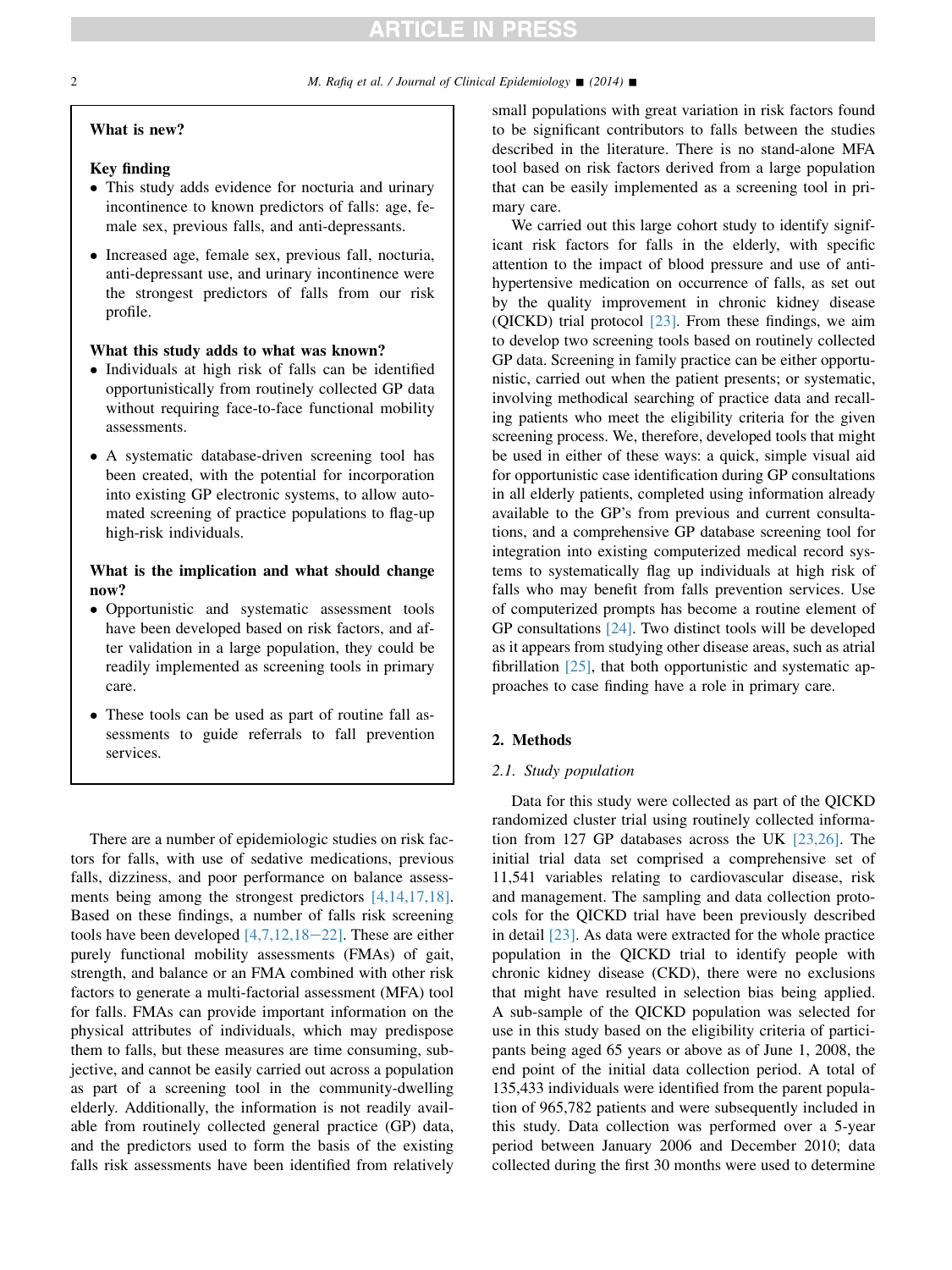# **ARTICLE IN PRESS**

#### What is new?

#### Key finding

- This study adds evidence for nocturia and urinary incontinence to known predictors of falls: age, female sex, previous falls, and anti-depressants.
- Increased age, female sex, previous fall, nocturia, anti-depressant use, and urinary incontinence were the strongest predictors of falls from our risk profile.

#### What this study adds to what was known?

- Individuals at high risk of falls can be identified opportunistically from routinely collected GP data without requiring face-to-face functional mobility assessments.
- A systematic database-driven screening tool has been created, with the potential for incorporation into existing GP electronic systems, to allow automated screening of practice populations to flag-up high-risk individuals.

### What is the implication and what should change now?

- Opportunistic and systematic assessment tools have been developed based on risk factors, and after validation in a large population, they could be readily implemented as screening tools in primary care.
- These tools can be used as part of routine fall assessments to guide referrals to fall prevention services.

There are a number of epidemiologic studies on risk factors for falls, with use of sedative medications, previous falls, dizziness, and poor performance on balance assess-ments being among the strongest predictors [\[4,14,17,18\].](#page-8-0) Based on these findings, a number of falls risk screening tools have been developed  $[4,7,12,18-22]$  $[4,7,12,18-22]$ . These are either purely functional mobility assessments (FMAs) of gait, strength, and balance or an FMA combined with other risk factors to generate a multi-factorial assessment (MFA) tool for falls. FMAs can provide important information on the physical attributes of individuals, which may predispose them to falls, but these measures are time consuming, subjective, and cannot be easily carried out across a population as part of a screening tool in the community-dwelling elderly. Additionally, the information is not readily available from routinely collected general practice (GP) data, and the predictors used to form the basis of the existing falls risk assessments have been identified from relatively

small populations with great variation in risk factors found to be significant contributors to falls between the studies described in the literature. There is no stand-alone MFA tool based on risk factors derived from a large population that can be easily implemented as a screening tool in primary care.

We carried out this large cohort study to identify significant risk factors for falls in the elderly, with specific attention to the impact of blood pressure and use of antihypertensive medication on occurrence of falls, as set out by the quality improvement in chronic kidney disease (QICKD) trial protocol [\[23\].](#page-9-0) From these findings, we aim to develop two screening tools based on routinely collected GP data. Screening in family practice can be either opportunistic, carried out when the patient presents; or systematic, involving methodical searching of practice data and recalling patients who meet the eligibility criteria for the given screening process. We, therefore, developed tools that might be used in either of these ways: a quick, simple visual aid for opportunistic case identification during GP consultations in all elderly patients, completed using information already available to the GP's from previous and current consultations, and a comprehensive GP database screening tool for integration into existing computerized medical record systems to systematically flag up individuals at high risk of falls who may benefit from falls prevention services. Use of computerized prompts has become a routine element of GP consultations [\[24\]](#page-9-0). Two distinct tools will be developed as it appears from studying other disease areas, such as atrial fibrillation [\[25\],](#page-9-0) that both opportunistic and systematic approaches to case finding have a role in primary care.

#### 2. Methods

#### 2.1. Study population

Data for this study were collected as part of the QICKD randomized cluster trial using routinely collected information from 127 GP databases across the UK [\[23,26\].](#page-9-0) The initial trial data set comprised a comprehensive set of 11,541 variables relating to cardiovascular disease, risk and management. The sampling and data collection protocols for the QICKD trial have been previously described in detail [\[23\]](#page-9-0). As data were extracted for the whole practice population in the QICKD trial to identify people with chronic kidney disease (CKD), there were no exclusions that might have resulted in selection bias being applied. A sub-sample of the QICKD population was selected for use in this study based on the eligibility criteria of participants being aged 65 years or above as of June 1, 2008, the end point of the initial data collection period. A total of 135,433 individuals were identified from the parent population of 965,782 patients and were subsequently included in this study. Data collection was performed over a 5-year period between January 2006 and December 2010; data collected during the first 30 months were used to determine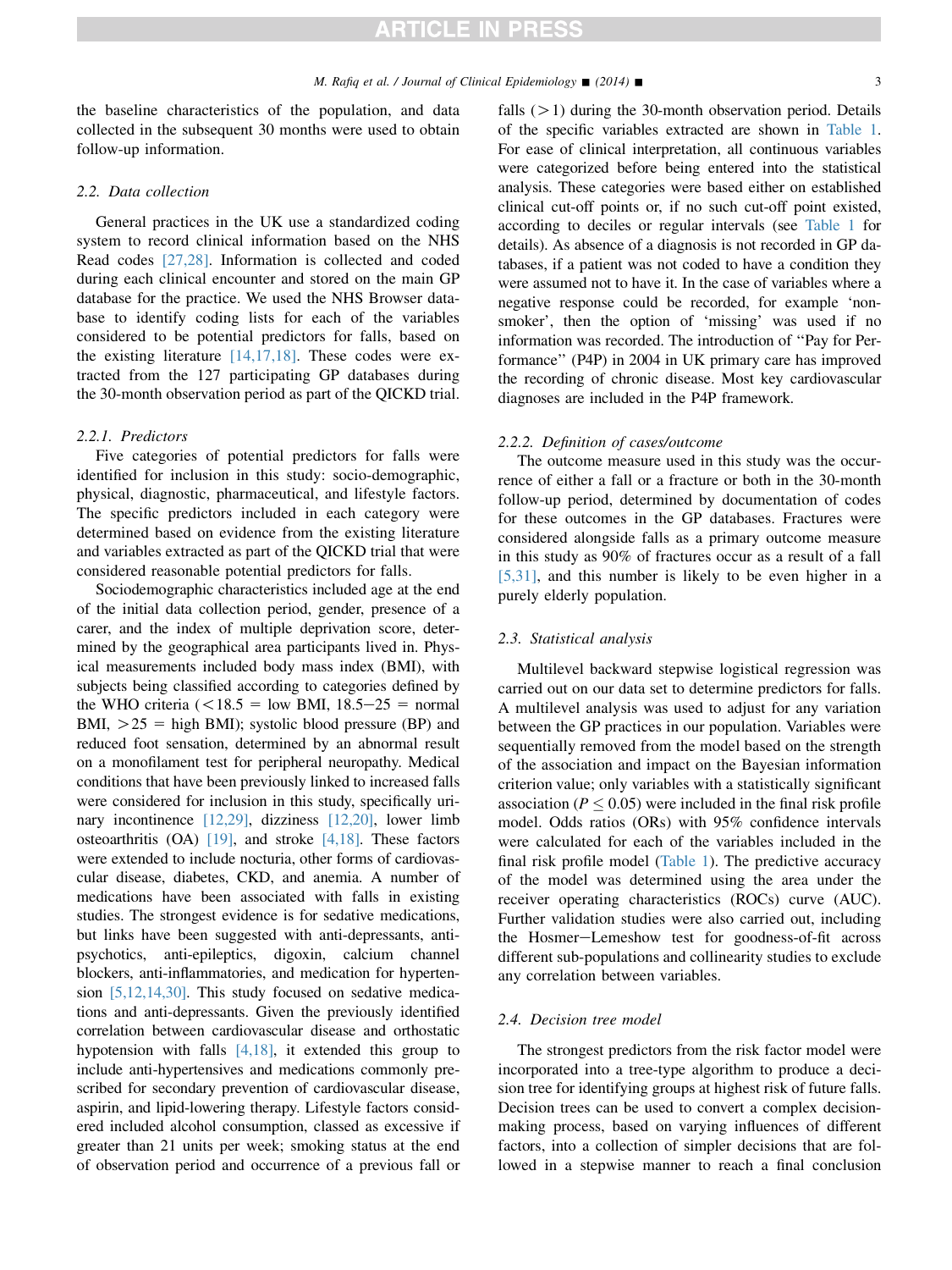the baseline characteristics of the population, and data collected in the subsequent 30 months were used to obtain follow-up information.

#### 2.2. Data collection

General practices in the UK use a standardized coding system to record clinical information based on the NHS Read codes [\[27,28\]](#page-9-0). Information is collected and coded during each clinical encounter and stored on the main GP database for the practice. We used the NHS Browser database to identify coding lists for each of the variables considered to be potential predictors for falls, based on the existing literature [\[14,17,18\]](#page-9-0). These codes were extracted from the 127 participating GP databases during the 30-month observation period as part of the QICKD trial.

#### 2.2.1. Predictors

Five categories of potential predictors for falls were identified for inclusion in this study: socio-demographic, physical, diagnostic, pharmaceutical, and lifestyle factors. The specific predictors included in each category were determined based on evidence from the existing literature and variables extracted as part of the QICKD trial that were considered reasonable potential predictors for falls.

Sociodemographic characteristics included age at the end of the initial data collection period, gender, presence of a carer, and the index of multiple deprivation score, determined by the geographical area participants lived in. Physical measurements included body mass index (BMI), with subjects being classified according to categories defined by the WHO criteria ( $< 18.5 =$  low BMI,  $18.5-25 =$  normal BMI,  $>25$  = high BMI); systolic blood pressure (BP) and reduced foot sensation, determined by an abnormal result on a monofilament test for peripheral neuropathy. Medical conditions that have been previously linked to increased falls were considered for inclusion in this study, specifically urinary incontinence [\[12,29\]](#page-9-0), dizziness [\[12,20\]](#page-9-0), lower limb osteoarthritis  $(OA)$  [\[19\]](#page-9-0), and stroke [\[4,18\]](#page-8-0). These factors were extended to include nocturia, other forms of cardiovascular disease, diabetes, CKD, and anemia. A number of medications have been associated with falls in existing studies. The strongest evidence is for sedative medications, but links have been suggested with anti-depressants, antipsychotics, anti-epileptics, digoxin, calcium channel blockers, anti-inflammatories, and medication for hypertension [\[5,12,14,30\]](#page-8-0). This study focused on sedative medications and anti-depressants. Given the previously identified correlation between cardiovascular disease and orthostatic hypotension with falls [\[4,18\],](#page-8-0) it extended this group to include anti-hypertensives and medications commonly prescribed for secondary prevention of cardiovascular disease, aspirin, and lipid-lowering therapy. Lifestyle factors considered included alcohol consumption, classed as excessive if greater than 21 units per week; smoking status at the end of observation period and occurrence of a previous fall or

falls  $(>1)$  during the 30-month observation period. Details of the specific variables extracted are shown in [Table 1](#page-3-0). For ease of clinical interpretation, all continuous variables were categorized before being entered into the statistical analysis. These categories were based either on established clinical cut-off points or, if no such cut-off point existed, according to deciles or regular intervals (see [Table 1](#page-3-0) for details). As absence of a diagnosis is not recorded in GP databases, if a patient was not coded to have a condition they were assumed not to have it. In the case of variables where a negative response could be recorded, for example 'nonsmoker', then the option of 'missing' was used if no information was recorded. The introduction of ''Pay for Performance'' (P4P) in 2004 in UK primary care has improved the recording of chronic disease. Most key cardiovascular diagnoses are included in the P4P framework.

#### 2.2.2. Definition of cases/outcome

The outcome measure used in this study was the occurrence of either a fall or a fracture or both in the 30-month follow-up period, determined by documentation of codes for these outcomes in the GP databases. Fractures were considered alongside falls as a primary outcome measure in this study as 90% of fractures occur as a result of a fall [\[5,31\],](#page-8-0) and this number is likely to be even higher in a purely elderly population.

#### 2.3. Statistical analysis

Multilevel backward stepwise logistical regression was carried out on our data set to determine predictors for falls. A multilevel analysis was used to adjust for any variation between the GP practices in our population. Variables were sequentially removed from the model based on the strength of the association and impact on the Bayesian information criterion value; only variables with a statistically significant association ( $P \leq 0.05$ ) were included in the final risk profile model. Odds ratios (ORs) with 95% confidence intervals were calculated for each of the variables included in the final risk profile model [\(Table 1\)](#page-3-0). The predictive accuracy of the model was determined using the area under the receiver operating characteristics (ROCs) curve (AUC). Further validation studies were also carried out, including the Hosmer-Lemeshow test for goodness-of-fit across different sub-populations and collinearity studies to exclude any correlation between variables.

#### 2.4. Decision tree model

The strongest predictors from the risk factor model were incorporated into a tree-type algorithm to produce a decision tree for identifying groups at highest risk of future falls. Decision trees can be used to convert a complex decisionmaking process, based on varying influences of different factors, into a collection of simpler decisions that are followed in a stepwise manner to reach a final conclusion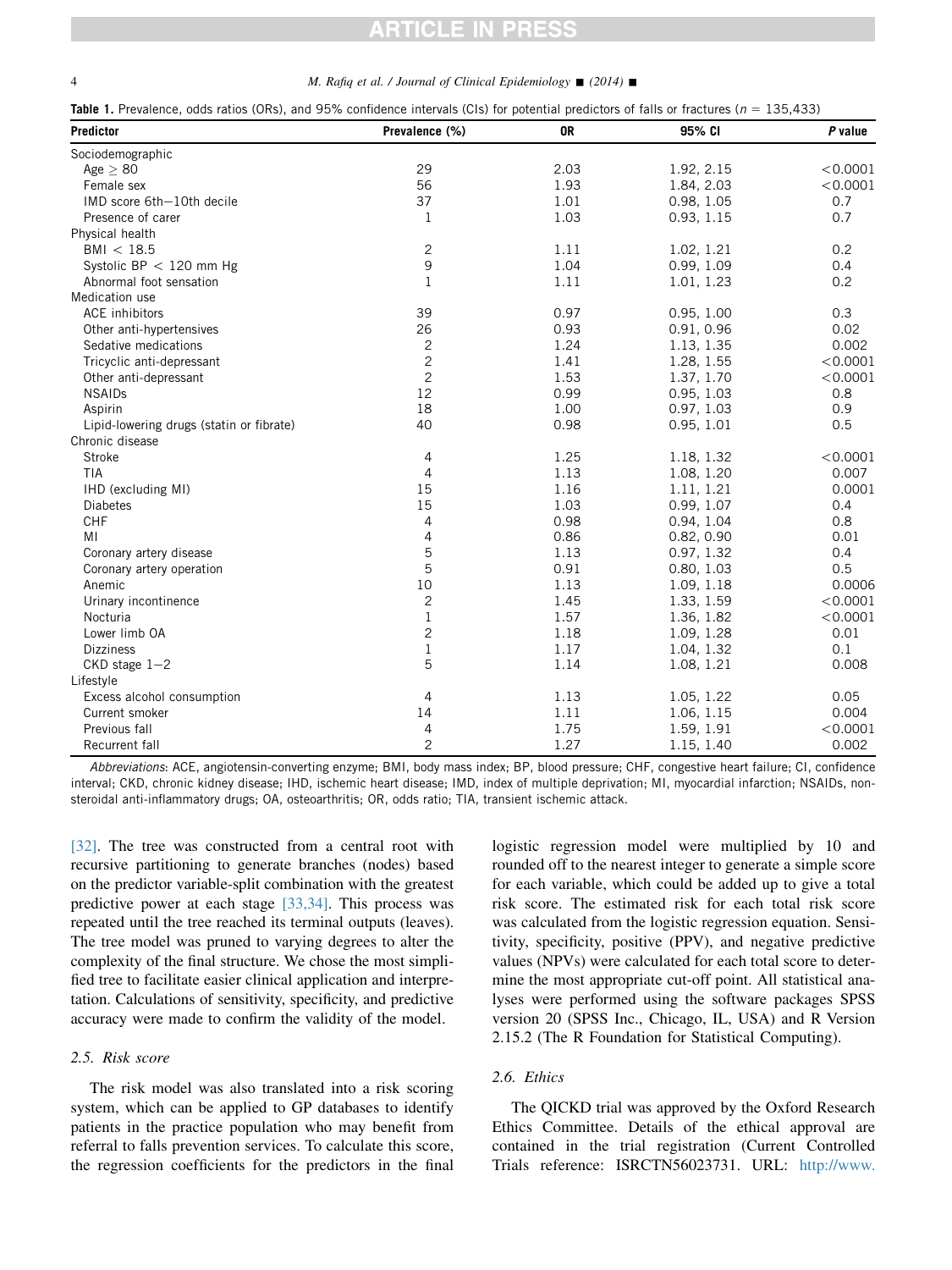# RTICLE IN PRESS

#### <span id="page-3-0"></span>4 M. Rafiq et al. / Journal of Clinical Epidemiology  $(2014)$

Table 1. Prevalence, odds ratios (ORs), and 95% confidence intervals (CIs) for potential predictors of falls or fractures (n = 135.433)

| Predictor                                | Prevalence (%) | 0R   | 95% CI     | P value  |
|------------------------------------------|----------------|------|------------|----------|
| Sociodemographic                         |                |      |            |          |
| Age > 80                                 | 29             | 2.03 | 1.92, 2.15 | < 0.0001 |
| Female sex                               | 56             | 1.93 | 1.84, 2.03 | < 0.0001 |
| IMD score 6th-10th decile                | 37             | 1.01 | 0.98, 1.05 | 0.7      |
| Presence of carer                        | $\mathbf{1}$   | 1.03 | 0.93, 1.15 | 0.7      |
| Physical health                          |                |      |            |          |
| BMI < 18.5                               | 2              | 1.11 | 1.02, 1.21 | 0.2      |
| Systolic BP $<$ 120 mm Hg                | 9              | 1.04 | 0.99, 1.09 | 0.4      |
| Abnormal foot sensation                  | 1              | 1.11 | 1.01, 1.23 | 0.2      |
| Medication use                           |                |      |            |          |
| ACE inhibitors                           | 39             | 0.97 | 0.95, 1.00 | 0.3      |
| Other anti-hypertensives                 | 26             | 0.93 | 0.91, 0.96 | 0.02     |
| Sedative medications                     | 2              | 1.24 | 1.13, 1.35 | 0.002    |
| Tricyclic anti-depressant                | $\overline{c}$ | 1.41 | 1.28, 1.55 | < 0.0001 |
| Other anti-depressant                    | $\overline{c}$ | 1.53 | 1.37, 1.70 | < 0.0001 |
| <b>NSAIDs</b>                            | 12             | 0.99 | 0.95, 1.03 | 0.8      |
| Aspirin                                  | 18             | 1.00 | 0.97, 1.03 | 0.9      |
| Lipid-lowering drugs (statin or fibrate) | 40             | 0.98 | 0.95, 1.01 | 0.5      |
| Chronic disease                          |                |      |            |          |
| Stroke                                   | 4              | 1.25 | 1.18, 1.32 | < 0.0001 |
| <b>TIA</b>                               | $\overline{4}$ | 1.13 | 1.08, 1.20 | 0.007    |
| IHD (excluding MI)                       | 15             | 1.16 | 1.11, 1.21 | 0.0001   |
| <b>Diabetes</b>                          | 15             | 1.03 | 0.99, 1.07 | 0.4      |
| <b>CHF</b>                               | 4              | 0.98 | 0.94, 1.04 | 0.8      |
| MI                                       | 4              | 0.86 | 0.82, 0.90 | 0.01     |
| Coronary artery disease                  | 5              | 1.13 | 0.97, 1.32 | 0.4      |
| Coronary artery operation                | 5              | 0.91 | 0.80, 1.03 | 0.5      |
| Anemic                                   | 10             | 1.13 | 1.09, 1.18 | 0.0006   |
| Urinary incontinence                     | $\mathbf{2}$   | 1.45 | 1.33, 1.59 | < 0.0001 |
| Nocturia                                 | $\mathbf 1$    | 1.57 | 1.36, 1.82 | < 0.0001 |
| Lower limb OA                            | 2              | 1.18 | 1.09, 1.28 | 0.01     |
| <b>Dizziness</b>                         | 1              | 1.17 | 1.04, 1.32 | 0.1      |
| $CKD$ stage $1-2$                        | 5              | 1.14 | 1.08, 1.21 | 0.008    |
| Lifestyle                                |                |      |            |          |
| Excess alcohol consumption               | 4              | 1.13 | 1.05, 1.22 | 0.05     |
| Current smoker                           | 14             | 1.11 | 1.06, 1.15 | 0.004    |
| Previous fall                            | 4              | 1.75 | 1.59, 1.91 | < 0.0001 |
| Recurrent fall                           | $\overline{c}$ | 1.27 | 1.15, 1.40 | 0.002    |

Abbreviations: ACE, angiotensin-converting enzyme; BMI, body mass index; BP, blood pressure; CHF, congestive heart failure; CI, confidence interval; CKD, chronic kidney disease; IHD, ischemic heart disease; IMD, index of multiple deprivation; MI, myocardial infarction; NSAIDs, nonsteroidal anti-inflammatory drugs; OA, osteoarthritis; OR, odds ratio; TIA, transient ischemic attack.

[\[32\].](#page-9-0) The tree was constructed from a central root with recursive partitioning to generate branches (nodes) based on the predictor variable-split combination with the greatest predictive power at each stage [\[33,34\].](#page-9-0) This process was repeated until the tree reached its terminal outputs (leaves). The tree model was pruned to varying degrees to alter the complexity of the final structure. We chose the most simplified tree to facilitate easier clinical application and interpretation. Calculations of sensitivity, specificity, and predictive accuracy were made to confirm the validity of the model.

#### 2.5. Risk score

The risk model was also translated into a risk scoring system, which can be applied to GP databases to identify patients in the practice population who may benefit from referral to falls prevention services. To calculate this score, the regression coefficients for the predictors in the final logistic regression model were multiplied by 10 and rounded off to the nearest integer to generate a simple score for each variable, which could be added up to give a total risk score. The estimated risk for each total risk score was calculated from the logistic regression equation. Sensitivity, specificity, positive (PPV), and negative predictive values (NPVs) were calculated for each total score to determine the most appropriate cut-off point. All statistical analyses were performed using the software packages SPSS version 20 (SPSS Inc., Chicago, IL, USA) and R Version 2.15.2 (The R Foundation for Statistical Computing).

## 2.6. Ethics

The QICKD trial was approved by the Oxford Research Ethics Committee. Details of the ethical approval are contained in the trial registration (Current Controlled Trials reference: ISRCTN56023731. URL: [http://www.](http://www.controlled-trials.com/ISRCTN56023731)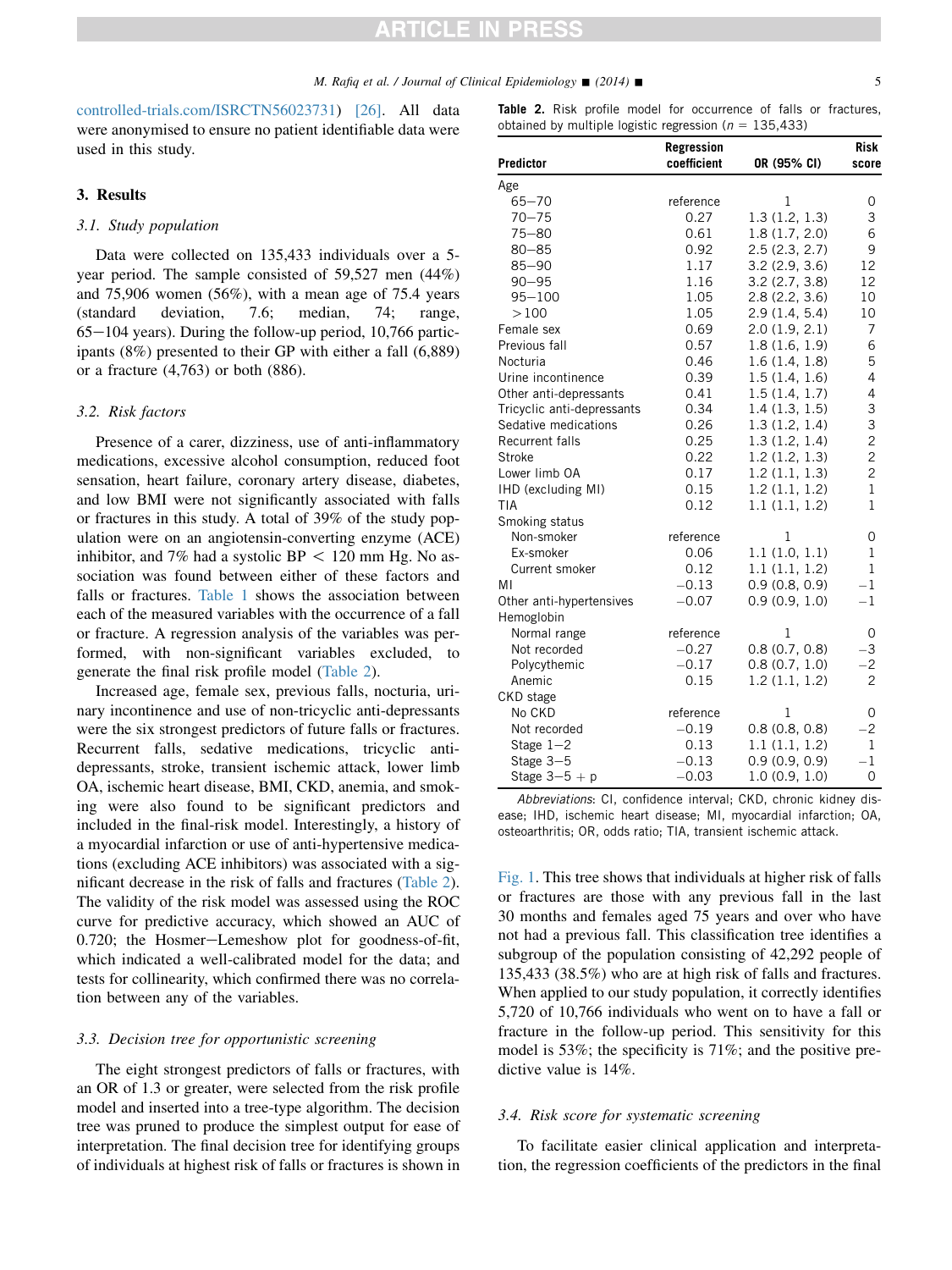<span id="page-4-0"></span>[controlled-trials.com/ISRCTN56023731\)](http://www.controlled-trials.com/ISRCTN56023731) [\[26\]](#page-9-0). All data were anonymised to ensure no patient identifiable data were used in this study.

#### 3. Results

#### 3.1. Study population

Data were collected on 135,433 individuals over a 5 year period. The sample consisted of 59,527 men (44%) and 75,906 women (56%), with a mean age of 75.4 years (standard deviation, 7.6; median, 74; range,  $65-104$  years). During the follow-up period, 10,766 participants (8%) presented to their GP with either a fall (6,889) or a fracture (4,763) or both (886).

#### 3.2. Risk factors

Presence of a carer, dizziness, use of anti-inflammatory medications, excessive alcohol consumption, reduced foot sensation, heart failure, coronary artery disease, diabetes, and low BMI were not significantly associated with falls or fractures in this study. A total of 39% of the study population were on an angiotensin-converting enzyme (ACE) inhibitor, and 7% had a systolic BP  $<$  120 mm Hg. No association was found between either of these factors and falls or fractures. [Table 1](#page-3-0) shows the association between each of the measured variables with the occurrence of a fall or fracture. A regression analysis of the variables was performed, with non-significant variables excluded, to generate the final risk profile model (Table 2).

Increased age, female sex, previous falls, nocturia, urinary incontinence and use of non-tricyclic anti-depressants were the six strongest predictors of future falls or fractures. Recurrent falls, sedative medications, tricyclic antidepressants, stroke, transient ischemic attack, lower limb OA, ischemic heart disease, BMI, CKD, anemia, and smoking were also found to be significant predictors and included in the final-risk model. Interestingly, a history of a myocardial infarction or use of anti-hypertensive medications (excluding ACE inhibitors) was associated with a significant decrease in the risk of falls and fractures (Table 2). The validity of the risk model was assessed using the ROC curve for predictive accuracy, which showed an AUC of  $0.720$ ; the Hosmer-Lemeshow plot for goodness-of-fit, which indicated a well-calibrated model for the data; and tests for collinearity, which confirmed there was no correlation between any of the variables.

#### 3.3. Decision tree for opportunistic screening

The eight strongest predictors of falls or fractures, with an OR of 1.3 or greater, were selected from the risk profile model and inserted into a tree-type algorithm. The decision tree was pruned to produce the simplest output for ease of interpretation. The final decision tree for identifying groups of individuals at highest risk of falls or fractures is shown in

**Table 2.** Risk profile model for occurrence of falls or fractures, obtained by multiple logistic regression ( $n = 135,433$ )

| <b>Predictor</b>           | Regression<br>coefficient | OR (95% CI)    | <b>Risk</b><br>score |
|----------------------------|---------------------------|----------------|----------------------|
| Age                        |                           |                |                      |
| $65 - 70$                  | reference                 | 1              | 0                    |
| $70 - 75$                  | 0.27                      | 1.3(1.2, 1.3)  | 3                    |
| $75 - 80$                  | 0.61                      | 1.8 (1.7, 2.0) | 6                    |
| $80 - 85$                  | 0.92                      | 2.5(2.3, 2.7)  | 9                    |
| $85 - 90$                  | 1.17                      | 3.2 (2.9, 3.6) | 12                   |
| $90 - 95$                  | 1.16                      | 3.2(2.7, 3.8)  | 12                   |
| $95 - 100$                 | 1.05                      | 2.8(2.2, 3.6)  | 10                   |
| >100                       | 1.05                      | 2.9(1.4, 5.4)  | 10                   |
| Female sex                 | 0.69                      | 2.0(1.9, 2.1)  | 7                    |
| Previous fall              | 0.57                      | 1.8 (1.6, 1.9) | 6                    |
| Nocturia                   | 0.46                      | 1.6(1.4, 1.8)  | 5                    |
| Urine incontinence         | 0.39                      | 1.5(1.4, 1.6)  | 4                    |
| Other anti-depressants     | 0.41                      | 1.5(1.4, 1.7)  | 4                    |
| Tricyclic anti-depressants | 0.34                      | 1.4(1.3, 1.5)  | 3                    |
| Sedative medications       | 0.26                      | 1.3(1.2, 1.4)  | 3                    |
| Recurrent falls            | 0.25                      | 1.3(1.2, 1.4)  | $\overline{c}$       |
| Stroke                     | 0.22                      | 1.2(1.2, 1.3)  | $\overline{c}$       |
| Lower limb OA              | 0.17                      | 1.2(1.1, 1.3)  | $\overline{c}$       |
| IHD (excluding MI)         | 0.15                      | 1.2(1.1, 1.2)  | $\mathbf{1}$         |
| <b>TIA</b>                 | 0.12                      | 1.1(1.1, 1.2)  | 1                    |
| Smoking status             |                           |                |                      |
| Non-smoker                 | reference                 | 1              | 0                    |
| Ex-smoker                  | 0.06                      | 1.1(1.0, 1.1)  | 1                    |
| Current smoker             | 0.12                      | 1.1(1.1, 1.2)  | 1                    |
| MI                         | $-0.13$                   | 0.9(0.8, 0.9)  | $^{-1}$              |
| Other anti-hypertensives   | $-0.07$                   | 0.9(0.9, 1.0)  | $-1$                 |
| Hemoglobin                 |                           |                |                      |
| Normal range               | reference                 | 1              | 0                    |
| Not recorded               | $-0.27$                   | 0.8(0.7, 0.8)  | $-3$                 |
| Polycythemic               | $-0.17$                   | 0.8(0.7, 1.0)  | $-2$                 |
| Anemic                     | 0.15                      | 1.2(1.1, 1.2)  | $\overline{c}$       |
| CKD stage                  |                           |                |                      |
| No CKD                     | reference                 | 1              | 0                    |
| Not recorded               | $-0.19$                   | 0.8(0.8, 0.8)  | $-2$                 |
| Stage $1-2$                | 0.13                      | 1.1(1.1, 1.2)  | 1                    |
| Stage $3-5$                | $-0.13$                   | 0.9(0.9, 0.9)  | $-1$                 |
| Stage $3-5 + p$            | $-0.03$                   | 1.0(0.9, 1.0)  | 0                    |

Abbreviations: CI, confidence interval; CKD, chronic kidney disease; IHD, ischemic heart disease; MI, myocardial infarction; OA, osteoarthritis; OR, odds ratio; TIA, transient ischemic attack.

[Fig. 1.](#page-5-0) This tree shows that individuals at higher risk of falls or fractures are those with any previous fall in the last 30 months and females aged 75 years and over who have not had a previous fall. This classification tree identifies a subgroup of the population consisting of 42,292 people of 135,433 (38.5%) who are at high risk of falls and fractures. When applied to our study population, it correctly identifies 5,720 of 10,766 individuals who went on to have a fall or fracture in the follow-up period. This sensitivity for this model is 53%; the specificity is 71%; and the positive predictive value is 14%.

#### 3.4. Risk score for systematic screening

To facilitate easier clinical application and interpretation, the regression coefficients of the predictors in the final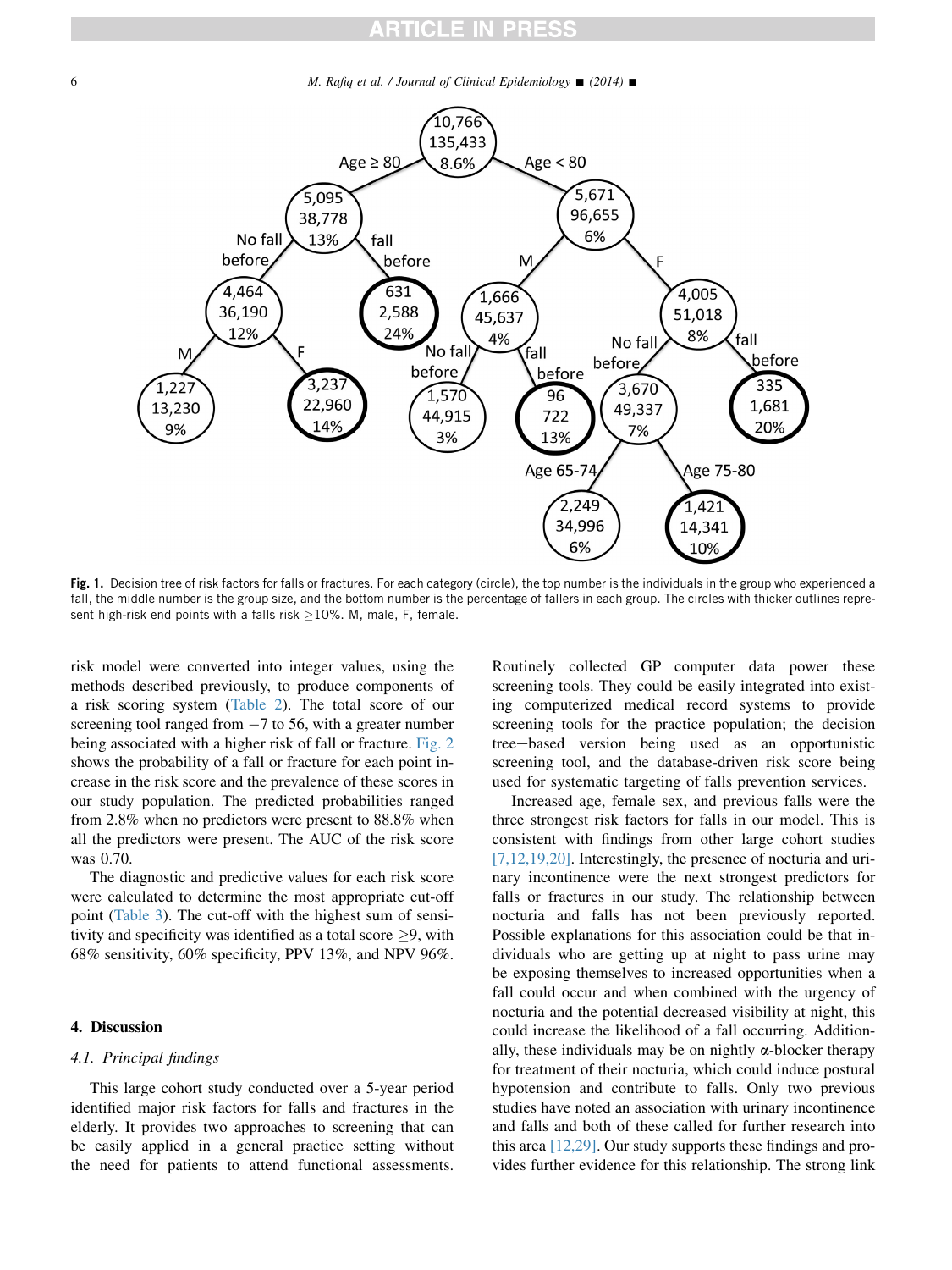## **ARTICLE IN PRESS**

<span id="page-5-0"></span>6 M. Rafiq et al. / Journal of Clinical Epidemiology  $\blacksquare$  (2014)  $\blacksquare$ 



Fig. 1. Decision tree of risk factors for falls or fractures. For each category (circle), the top number is the individuals in the group who experienced a fall, the middle number is the group size, and the bottom number is the percentage of fallers in each group. The circles with thicker outlines represent high-risk end points with a falls risk  $\geq$ 10%. M, male, F, female.

risk model were converted into integer values, using the methods described previously, to produce components of a risk scoring system [\(Table 2](#page-4-0)). The total score of our screening tool ranged from  $-7$  to 56, with a greater number being associated with a higher risk of fall or fracture. [Fig. 2](#page-6-0) shows the probability of a fall or fracture for each point increase in the risk score and the prevalence of these scores in our study population. The predicted probabilities ranged from 2.8% when no predictors were present to 88.8% when all the predictors were present. The AUC of the risk score was 0.70.

The diagnostic and predictive values for each risk score were calculated to determine the most appropriate cut-off point [\(Table 3\)](#page-7-0). The cut-off with the highest sum of sensitivity and specificity was identified as a total score  $>9$ , with 68% sensitivity, 60% specificity, PPV 13%, and NPV 96%.

#### 4. Discussion

#### 4.1. Principal findings

This large cohort study conducted over a 5-year period identified major risk factors for falls and fractures in the elderly. It provides two approaches to screening that can be easily applied in a general practice setting without the need for patients to attend functional assessments. Routinely collected GP computer data power these screening tools. They could be easily integrated into existing computerized medical record systems to provide screening tools for the practice population; the decision tree-based version being used as an opportunistic screening tool, and the database-driven risk score being used for systematic targeting of falls prevention services.

Increased age, female sex, and previous falls were the three strongest risk factors for falls in our model. This is consistent with findings from other large cohort studies [\[7,12,19,20\]](#page-8-0). Interestingly, the presence of nocturia and urinary incontinence were the next strongest predictors for falls or fractures in our study. The relationship between nocturia and falls has not been previously reported. Possible explanations for this association could be that individuals who are getting up at night to pass urine may be exposing themselves to increased opportunities when a fall could occur and when combined with the urgency of nocturia and the potential decreased visibility at night, this could increase the likelihood of a fall occurring. Additionally, these individuals may be on nightly  $\alpha$ -blocker therapy for treatment of their nocturia, which could induce postural hypotension and contribute to falls. Only two previous studies have noted an association with urinary incontinence and falls and both of these called for further research into this area [\[12,29\]](#page-9-0). Our study supports these findings and provides further evidence for this relationship. The strong link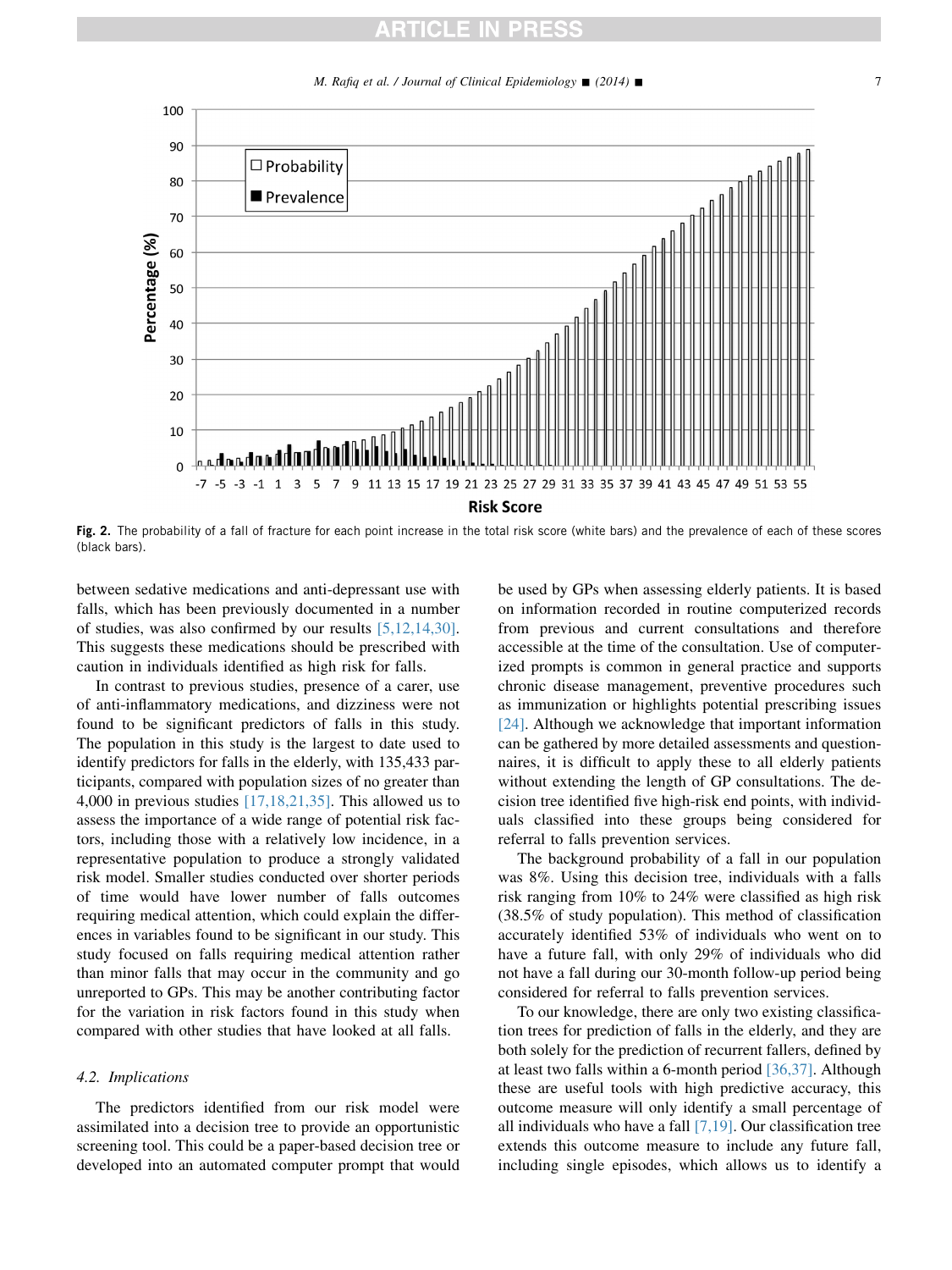M. Rafiq et al. / Journal of Clinical Epidemiology  $\Box$  (2014)  $\Box$  7

<span id="page-6-0"></span>

Fig. 2. The probability of a fall of fracture for each point increase in the total risk score (white bars) and the prevalence of each of these scores (black bars).

between sedative medications and anti-depressant use with falls, which has been previously documented in a number of studies, was also confirmed by our results [\[5,12,14,30\]](#page-8-0). This suggests these medications should be prescribed with caution in individuals identified as high risk for falls.

In contrast to previous studies, presence of a carer, use of anti-inflammatory medications, and dizziness were not found to be significant predictors of falls in this study. The population in this study is the largest to date used to identify predictors for falls in the elderly, with 135,433 participants, compared with population sizes of no greater than 4,000 in previous studies [\[17,18,21,35\]](#page-9-0). This allowed us to assess the importance of a wide range of potential risk factors, including those with a relatively low incidence, in a representative population to produce a strongly validated risk model. Smaller studies conducted over shorter periods of time would have lower number of falls outcomes requiring medical attention, which could explain the differences in variables found to be significant in our study. This study focused on falls requiring medical attention rather than minor falls that may occur in the community and go unreported to GPs. This may be another contributing factor for the variation in risk factors found in this study when compared with other studies that have looked at all falls.

#### 4.2. Implications

The predictors identified from our risk model were assimilated into a decision tree to provide an opportunistic screening tool. This could be a paper-based decision tree or developed into an automated computer prompt that would be used by GPs when assessing elderly patients. It is based on information recorded in routine computerized records from previous and current consultations and therefore accessible at the time of the consultation. Use of computerized prompts is common in general practice and supports chronic disease management, preventive procedures such as immunization or highlights potential prescribing issues [\[24\]](#page-9-0). Although we acknowledge that important information can be gathered by more detailed assessments and questionnaires, it is difficult to apply these to all elderly patients without extending the length of GP consultations. The decision tree identified five high-risk end points, with individuals classified into these groups being considered for referral to falls prevention services.

The background probability of a fall in our population was 8%. Using this decision tree, individuals with a falls risk ranging from 10% to 24% were classified as high risk (38.5% of study population). This method of classification accurately identified 53% of individuals who went on to have a future fall, with only 29% of individuals who did not have a fall during our 30-month follow-up period being considered for referral to falls prevention services.

To our knowledge, there are only two existing classification trees for prediction of falls in the elderly, and they are both solely for the prediction of recurrent fallers, defined by at least two falls within a 6-month period [\[36,37\]](#page-9-0). Although these are useful tools with high predictive accuracy, this outcome measure will only identify a small percentage of all individuals who have a fall  $[7,19]$ . Our classification tree extends this outcome measure to include any future fall, including single episodes, which allows us to identify a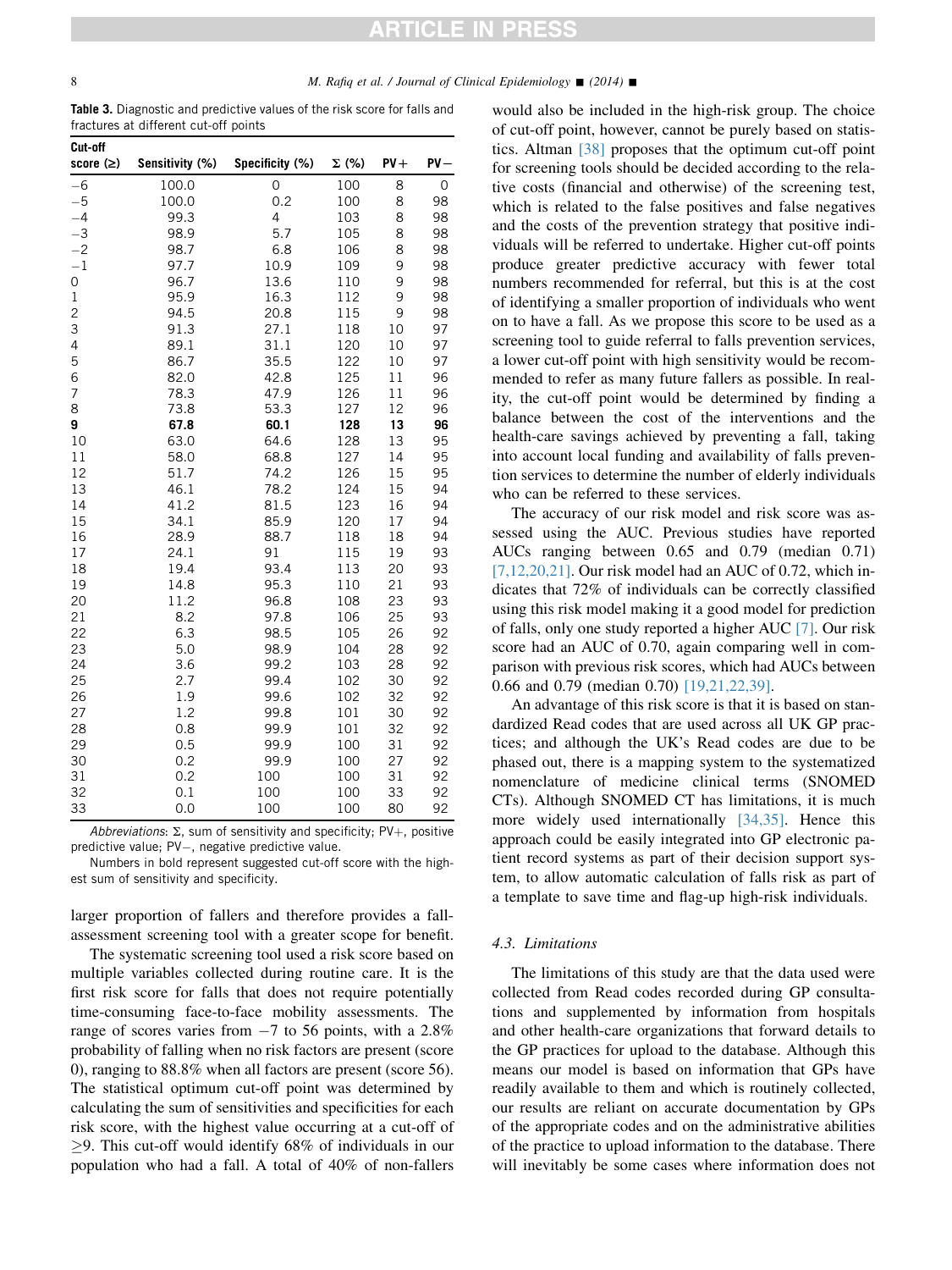<span id="page-7-0"></span>**Table 3.** Diagnostic and predictive values of the risk score for falls and fractures at different cut-off points

| Cut-off          |                 |                 |              |        |      |
|------------------|-----------------|-----------------|--------------|--------|------|
| score $( \geq )$ | Sensitivity (%) | Specificity (%) | $\Sigma$ (%) | $PV +$ | PV — |
| $-6$             | 100.0           | 0               | 100          | 8      | 0    |
| $-5$             | 100.0           | 0.2             | 100          | 8      | 98   |
| $-4$             | 99.3            | 4               | 103          | 8      | 98   |
| $-3$             | 98.9            | 5.7             | 105          | 8      | 98   |
| $-2$             | 98.7            | 6.8             | 106          | 8      | 98   |
| $-1$             | 97.7            | 10.9            | 109          | 9      | 98   |
| 0                | 96.7            | 13.6            | 110          | 9      | 98   |
| $\,1$            | 95.9            | 16.3            | 112          | 9      | 98   |
| $\overline{c}$   | 94.5            | 20.8            | 115          | 9      | 98   |
| 3                | 91.3            | 27.1            | 118          | 10     | 97   |
| 4                | 89.1            | 31.1            | 120          | 10     | 97   |
| 5                | 86.7            | 35.5            | 122          | 10     | 97   |
| 6                | 82.0            | 42.8            | 125          | 11     | 96   |
| 7                | 78.3            | 47.9            | 126          | 11     | 96   |
| 8                | 73.8            | 53.3            | 127          | 12     | 96   |
| 9                | 67.8            | 60.1            | 128          | 13     | 96   |
| 10               | 63.0            | 64.6            | 128          | 13     | 95   |
| 11               | 58.0            | 68.8            | 127          | 14     | 95   |
| 12               | 51.7            | 74.2            | 126          | 15     | 95   |
| 13               | 46.1            | 78.2            | 124          | 15     | 94   |
| 14               | 41.2            | 81.5            | 123          | 16     | 94   |
| 15               | 34.1            | 85.9            | 120          | 17     | 94   |
| 16               | 28.9            | 88.7            | 118          | 18     | 94   |
| 17               | 24.1            | 91              | 115          | 19     | 93   |
| 18               | 19.4            | 93.4            | 113          | 20     | 93   |
| 19               | 14.8            | 95.3            | 110          | 21     | 93   |
| 20               | 11.2            | 96.8            | 108          | 23     | 93   |
| 21               | 8.2             | 97.8            | 106          | 25     | 93   |
| 22               | 6.3             | 98.5            | 105          | 26     | 92   |
| 23               | 5.0             | 98.9            | 104          | 28     | 92   |
| 24               | 3.6             | 99.2            | 103          | 28     | 92   |
| 25               | 2.7             | 99.4            | 102          | 30     | 92   |
| 26               | 1.9             | 99.6            | 102          | 32     | 92   |
| 27               | 1.2             | 99.8            | 101          | 30     | 92   |
| 28               | 0.8             | 99.9            | 101          | 32     | 92   |
| 29               | 0.5             | 99.9            | 100          | 31     | 92   |
| 30               | 0.2             | 99.9            | 100          | 27     | 92   |
| 31               | 0.2             | 100             | 100          | 31     | 92   |
| 32               | 0.1             | 100             | 100          | 33     | 92   |
| 33               | 0.0             | 100             | 100          | 80     | 92   |

Abbreviations:  $\Sigma$ , sum of sensitivity and specificity; PV+, positive predictive value; PV-, negative predictive value.

Numbers in bold represent suggested cut-off score with the highest sum of sensitivity and specificity.

larger proportion of fallers and therefore provides a fallassessment screening tool with a greater scope for benefit.

The systematic screening tool used a risk score based on multiple variables collected during routine care. It is the first risk score for falls that does not require potentially time-consuming face-to-face mobility assessments. The range of scores varies from  $-7$  to 56 points, with a 2.8% probability of falling when no risk factors are present (score 0), ranging to 88.8% when all factors are present (score 56). The statistical optimum cut-off point was determined by calculating the sum of sensitivities and specificities for each risk score, with the highest value occurring at a cut-off of  $\geq$ 9. This cut-off would identify 68% of individuals in our population who had a fall. A total of 40% of non-fallers

would also be included in the high-risk group. The choice of cut-off point, however, cannot be purely based on statistics. Altman [\[38\]](#page-9-0) proposes that the optimum cut-off point for screening tools should be decided according to the relative costs (financial and otherwise) of the screening test, which is related to the false positives and false negatives and the costs of the prevention strategy that positive individuals will be referred to undertake. Higher cut-off points produce greater predictive accuracy with fewer total numbers recommended for referral, but this is at the cost of identifying a smaller proportion of individuals who went on to have a fall. As we propose this score to be used as a screening tool to guide referral to falls prevention services, a lower cut-off point with high sensitivity would be recommended to refer as many future fallers as possible. In reality, the cut-off point would be determined by finding a balance between the cost of the interventions and the health-care savings achieved by preventing a fall, taking into account local funding and availability of falls prevention services to determine the number of elderly individuals who can be referred to these services.

The accuracy of our risk model and risk score was assessed using the AUC. Previous studies have reported AUCs ranging between 0.65 and 0.79 (median 0.71)  $[7,12,20,21]$ . Our risk model had an AUC of 0.72, which indicates that 72% of individuals can be correctly classified using this risk model making it a good model for prediction of falls, only one study reported a higher AUC [\[7\]](#page-8-0). Our risk score had an AUC of 0.70, again comparing well in comparison with previous risk scores, which had AUCs between 0.66 and 0.79 (median 0.70) [\[19,21,22,39\].](#page-9-0)

An advantage of this risk score is that it is based on standardized Read codes that are used across all UK GP practices; and although the UK's Read codes are due to be phased out, there is a mapping system to the systematized nomenclature of medicine clinical terms (SNOMED CTs). Although SNOMED CT has limitations, it is much more widely used internationally [\[34,35\]](#page-9-0). Hence this approach could be easily integrated into GP electronic patient record systems as part of their decision support system, to allow automatic calculation of falls risk as part of a template to save time and flag-up high-risk individuals.

#### 4.3. Limitations

The limitations of this study are that the data used were collected from Read codes recorded during GP consultations and supplemented by information from hospitals and other health-care organizations that forward details to the GP practices for upload to the database. Although this means our model is based on information that GPs have readily available to them and which is routinely collected, our results are reliant on accurate documentation by GPs of the appropriate codes and on the administrative abilities of the practice to upload information to the database. There will inevitably be some cases where information does not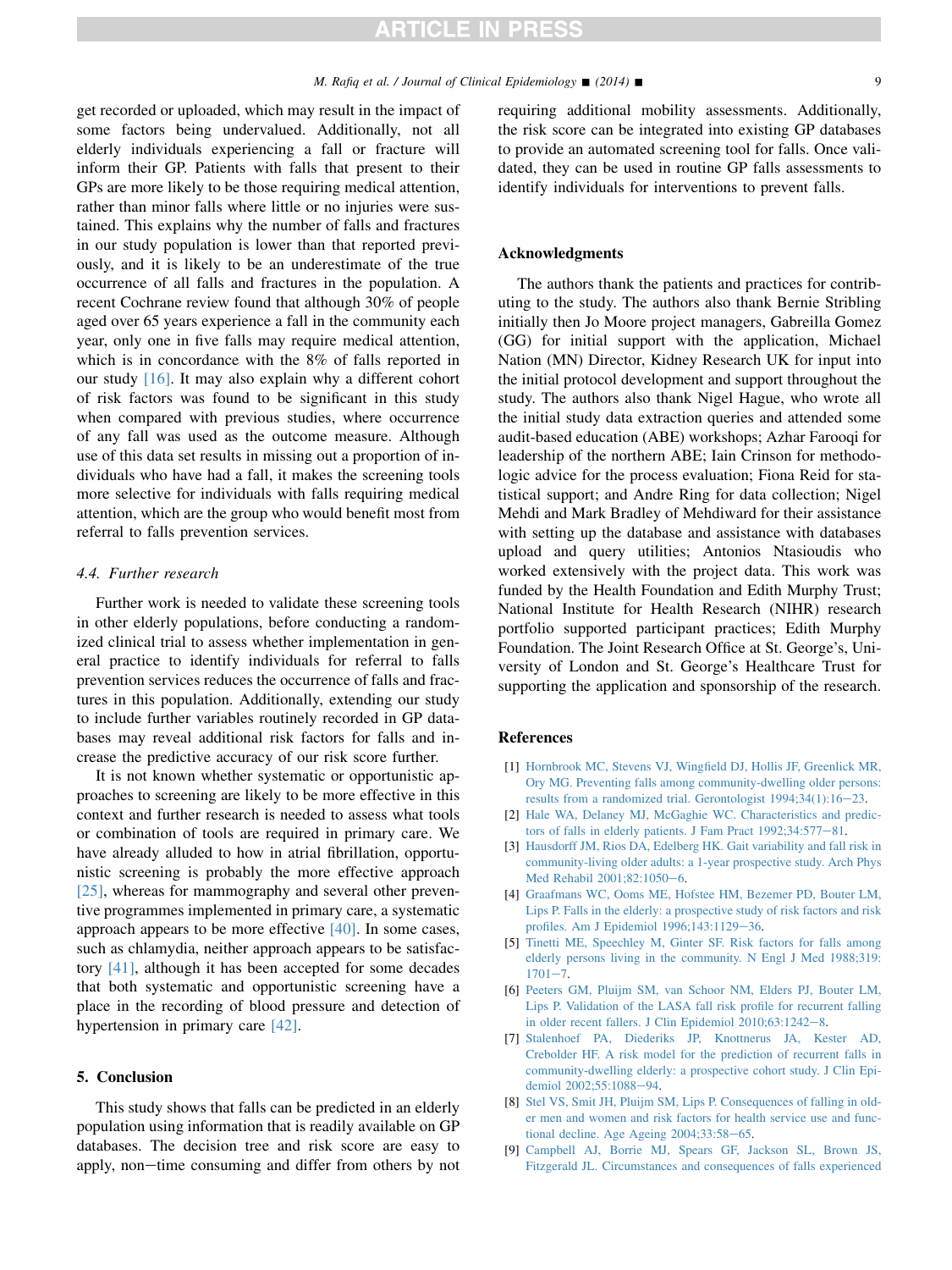<span id="page-8-0"></span>get recorded or uploaded, which may result in the impact of some factors being undervalued. Additionally, not all elderly individuals experiencing a fall or fracture will inform their GP. Patients with falls that present to their GPs are more likely to be those requiring medical attention, rather than minor falls where little or no injuries were sustained. This explains why the number of falls and fractures in our study population is lower than that reported previously, and it is likely to be an underestimate of the true occurrence of all falls and fractures in the population. A recent Cochrane review found that although 30% of people aged over 65 years experience a fall in the community each year, only one in five falls may require medical attention, which is in concordance with the 8% of falls reported in our study [\[16\]](#page-9-0). It may also explain why a different cohort of risk factors was found to be significant in this study when compared with previous studies, where occurrence of any fall was used as the outcome measure. Although use of this data set results in missing out a proportion of individuals who have had a fall, it makes the screening tools more selective for individuals with falls requiring medical attention, which are the group who would benefit most from referral to falls prevention services.

#### 4.4. Further research

Further work is needed to validate these screening tools in other elderly populations, before conducting a randomized clinical trial to assess whether implementation in general practice to identify individuals for referral to falls prevention services reduces the occurrence of falls and fractures in this population. Additionally, extending our study to include further variables routinely recorded in GP databases may reveal additional risk factors for falls and increase the predictive accuracy of our risk score further.

It is not known whether systematic or opportunistic approaches to screening are likely to be more effective in this context and further research is needed to assess what tools or combination of tools are required in primary care. We have already alluded to how in atrial fibrillation, opportunistic screening is probably the more effective approach [\[25\]](#page-9-0), whereas for mammography and several other preventive programmes implemented in primary care, a systematic approach appears to be more effective [\[40\]](#page-9-0). In some cases, such as chlamydia, neither approach appears to be satisfactory [\[41\]](#page-9-0), although it has been accepted for some decades that both systematic and opportunistic screening have a place in the recording of blood pressure and detection of hypertension in primary care [\[42\].](#page-9-0)

#### 5. Conclusion

This study shows that falls can be predicted in an elderly population using information that is readily available on GP databases. The decision tree and risk score are easy to apply, non-time consuming and differ from others by not requiring additional mobility assessments. Additionally, the risk score can be integrated into existing GP databases to provide an automated screening tool for falls. Once validated, they can be used in routine GP falls assessments to identify individuals for interventions to prevent falls.

#### Acknowledgments

The authors thank the patients and practices for contributing to the study. The authors also thank Bernie Stribling initially then Jo Moore project managers, Gabreilla Gomez (GG) for initial support with the application, Michael Nation (MN) Director, Kidney Research UK for input into the initial protocol development and support throughout the study. The authors also thank Nigel Hague, who wrote all the initial study data extraction queries and attended some audit-based education (ABE) workshops; Azhar Farooqi for leadership of the northern ABE; Iain Crinson for methodologic advice for the process evaluation; Fiona Reid for statistical support; and Andre Ring for data collection; Nigel Mehdi and Mark Bradley of Mehdiward for their assistance with setting up the database and assistance with databases upload and query utilities; Antonios Ntasioudis who worked extensively with the project data. This work was funded by the Health Foundation and Edith Murphy Trust; National Institute for Health Research (NIHR) research portfolio supported participant practices; Edith Murphy Foundation. The Joint Research Office at St. George's, University of London and St. George's Healthcare Trust for supporting the application and sponsorship of the research.

#### References

- [1] [Hornbrook MC, Stevens VJ, Wingfield DJ, Hollis JF, Greenlick MR,](http://refhub.elsevier.com/S0895-4356(14)00094-8/sref1) [Ory MG. Preventing falls among community-dwelling older persons:](http://refhub.elsevier.com/S0895-4356(14)00094-8/sref1) [results from a randomized trial. Gerontologist 1994;34\(1\):16](http://refhub.elsevier.com/S0895-4356(14)00094-8/sref1)-23.
- [2] [Hale WA, Delaney MJ, McGaghie WC. Characteristics and predic](http://refhub.elsevier.com/S0895-4356(14)00094-8/sref2)[tors of falls in elderly patients. J Fam Pract 1992;34:577](http://refhub.elsevier.com/S0895-4356(14)00094-8/sref2)-81.
- [3] [Hausdorff JM, Rios DA, Edelberg HK. Gait variability and fall risk in](http://refhub.elsevier.com/S0895-4356(14)00094-8/sref3) [community-living older adults: a 1-year prospective study. Arch Phys](http://refhub.elsevier.com/S0895-4356(14)00094-8/sref3) Med Rehabil 2001:82:1050-6.
- [4] [Graafmans WC, Ooms ME, Hofstee HM, Bezemer PD, Bouter LM,](http://refhub.elsevier.com/S0895-4356(14)00094-8/sref4) [Lips P. Falls in the elderly: a prospective study of risk factors and risk](http://refhub.elsevier.com/S0895-4356(14)00094-8/sref4) [profiles. Am J Epidemiol 1996;143:1129](http://refhub.elsevier.com/S0895-4356(14)00094-8/sref4)-36.
- [5] [Tinetti ME, Speechley M, Ginter SF. Risk factors for falls among](http://refhub.elsevier.com/S0895-4356(14)00094-8/sref5) [elderly persons living in the community. N Engl J Med 1988;319:](http://refhub.elsevier.com/S0895-4356(14)00094-8/sref5)  $1701 - 7$  $1701 - 7$ .
- [6] [Peeters GM, Pluijm SM, van Schoor NM, Elders PJ, Bouter LM,](http://refhub.elsevier.com/S0895-4356(14)00094-8/sref6) [Lips P. Validation of the LASA fall risk profile for recurrent falling](http://refhub.elsevier.com/S0895-4356(14)00094-8/sref6) in older recent fallers. J Clin Epidemiol  $2010;63:1242-8$ .
- [7] [Stalenhoef PA, Diederiks JP, Knottnerus JA, Kester AD,](http://refhub.elsevier.com/S0895-4356(14)00094-8/sref7) [Crebolder HF. A risk model for the prediction of recurrent falls in](http://refhub.elsevier.com/S0895-4356(14)00094-8/sref7) [community-dwelling elderly: a prospective cohort study. J Clin Epi](http://refhub.elsevier.com/S0895-4356(14)00094-8/sref7)[demiol 2002;55:1088](http://refhub.elsevier.com/S0895-4356(14)00094-8/sref7)-94.
- [8] [Stel VS, Smit JH, Pluijm SM, Lips P. Consequences of falling in old](http://refhub.elsevier.com/S0895-4356(14)00094-8/sref8)[er men and women and risk factors for health service use and func](http://refhub.elsevier.com/S0895-4356(14)00094-8/sref8)tional decline. Age Ageing  $2004;33:58-65$ .
- [9] [Campbell AJ, Borrie MJ, Spears GF, Jackson SL, Brown JS,](http://refhub.elsevier.com/S0895-4356(14)00094-8/sref9) [Fitzgerald JL. Circumstances and consequences of falls experienced](http://refhub.elsevier.com/S0895-4356(14)00094-8/sref9)